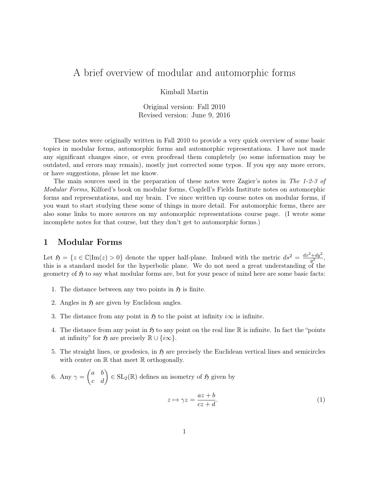# A brief overview of modular and automorphic forms

Kimball Martin

Original version: Fall 2010 Revised version: June 9, 2016

These notes were originally written in Fall 2010 to provide a very quick overview of some basic topics in modular forms, automorphic forms and automorphic representations. I have not made any significant changes since, or even proofread them completely (so some information may be outdated, and errors may remain), mostly just corrected some typos. If you spy any more errors, or have suggestions, please let me know.

The main sources used in the preparation of these notes were Zagier's notes in The 1-2-3 of Modular Forms, Kilford's book on modular forms, Cogdell's Fields Institute notes on automorphic forms and representations, and my brain. I've since written up course notes on modular forms, if you want to start studying these some of things in more detail. For automorphic forms, there are also some links to more sources on my automorphic representations course page. (I wrote some incomplete notes for that course, but they don't get to automorphic forms.)

## 1 Modular Forms

Let  $\mathfrak{H} = \{z \in \mathbb{C} | \text{Im}(z) > 0\}$  denote the upper half-plane. Imbued with the metric  $ds^2 = \frac{dx^2 + dy^2}{dt^2}$  $rac{+dy^2}{y^2}$ , this is a standard model for the hyperbolic plane. We do not need a great understanding of the geometry of  $\mathfrak H$  to say what modular forms are, but for your peace of mind here are some basic facts:

- 1. The distance between any two points in  $\mathfrak{H}$  is finite.
- 2. Angles in  $\mathfrak{H}$  are given by Euclidean angles.
- 3. The distance from any point in  $\mathfrak{H}$  to the point at infinity  $i\infty$  is infinite.
- 4. The distance from any point in  $\mathfrak{H}$  to any point on the real line R is infinite. In fact the "points" at infinity" for  $\mathfrak{H}$  are precisely  $\mathbb{R} \cup \{i\infty\}.$
- 5. The straight lines, or geodesics, in  $\mathfrak{H}$  are precisely the Euclidean vertical lines and semicircles with center on  $\mathbb R$  that meet  $\mathbb R$  orthogonally.

6. Any 
$$
\gamma = \begin{pmatrix} a & b \\ c & d \end{pmatrix} \in SL_2(\mathbb{R})
$$
 defines an isometry of  $\mathfrak{H}$  given by

$$
z \mapsto \gamma z = \frac{az + b}{cz + d}.\tag{1}
$$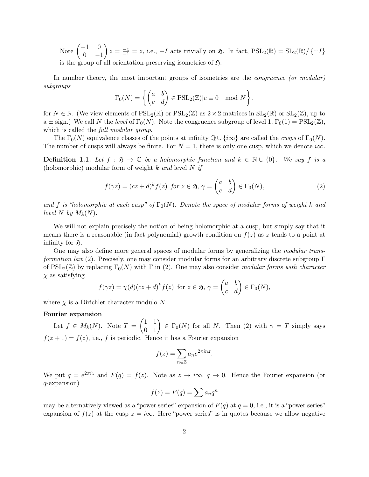Note  $\begin{pmatrix} -1 & 0 \\ 0 & 0 \end{pmatrix}$  $0 -1$  $z = \frac{-z}{-1} = z$ , i.e.,  $-I$  acts trivially on  $\mathfrak{H}$ . In fact,  $PSL_2(\mathbb{R}) = SL_2(\mathbb{R}) / \{\pm I\}$ is the group of all orientation-preserving isometries of  $\mathfrak{H}$ .

In number theory, the most important groups of isometries are the *congruence (or modular)* subgroups

$$
\Gamma_0(N) = \left\{ \begin{pmatrix} a & b \\ c & d \end{pmatrix} \in \text{PSL}_2(\mathbb{Z}) | c \equiv 0 \mod N \right\},\
$$

for  $N \in \mathbb{N}$ . (We view elements of  $PSL_2(\mathbb{R})$  or  $PSL_2(\mathbb{Z})$  as  $2 \times 2$  matrices in  $SL_2(\mathbb{R})$  or  $SL_2(\mathbb{Z})$ , up to a  $\pm$  sign.) We call N the level of  $\Gamma_0(N)$ . Note the congruence subgroup of level 1,  $\Gamma_0(1) = \text{PSL}_2(\mathbb{Z})$ , which is called the *full modular group*.

The  $\Gamma_0(N)$  equivalence classes of the points at infinity  $\mathbb{Q} \cup \{i\infty\}$  are called the *cusps* of  $\Gamma_0(N)$ . The number of cusps will always be finite. For  $N = 1$ , there is only one cusp, which we denote  $i\infty$ .

**Definition 1.1.** Let  $f : \mathfrak{H} \to \mathbb{C}$  be a holomorphic function and  $k \in \mathbb{N} \cup \{0\}$ . We say f is a (holomorphic) modular form of weight k and level N if

$$
f(\gamma z) = (cz+d)^k f(z) \text{ for } z \in \mathfrak{H}, \gamma = \begin{pmatrix} a & b \\ c & d \end{pmatrix} \in \Gamma_0(N), \tag{2}
$$

and f is "holomorphic at each cusp" of  $\Gamma_0(N)$ . Denote the space of modular forms of weight k and level N by  $M_k(N)$ .

We will not explain precisely the notion of being holomorphic at a cusp, but simply say that it means there is a reasonable (in fact polynomial) growth condition on  $f(z)$  as z tends to a point at infinity for  $\mathfrak{H}$ .

One may also define more general spaces of modular forms by generalizing the modular transformation law (2). Precisely, one may consider modular forms for an arbitrary discrete subgroup Γ of  $PSL_2(\mathbb{Z})$  by replacing  $\Gamma_0(N)$  with  $\Gamma$  in (2). One may also consider modular forms with character  $\chi$  as satisfying

$$
f(\gamma z) = \chi(d)(cz+d)^k f(z)
$$
 for  $z \in \mathfrak{H}$ ,  $\gamma = \begin{pmatrix} a & b \\ c & d \end{pmatrix} \in \Gamma_0(N)$ ,

where  $\chi$  is a Dirichlet character modulo N.

## Fourier expansion

Let  $f \in M_k(N)$ . Note  $T = \begin{pmatrix} 1 & 1 \\ 0 & 1 \end{pmatrix} \in \Gamma_0(N)$  for all N. Then (2) with  $\gamma = T$  simply says  $f(z + 1) = f(z)$ , i.e., f is periodic. Hence it has a Fourier expansion

$$
f(z) = \sum_{n \in \mathbb{Z}} a_n e^{2\pi i n z}.
$$

We put  $q = e^{2\pi i z}$  and  $F(q) = f(z)$ . Note as  $z \to i\infty$ ,  $q \to 0$ . Hence the Fourier expansion (or q-expansion)

$$
f(z) = F(q) = \sum a_n q^n
$$

may be alternatively viewed as a "power series" expansion of  $F(q)$  at  $q = 0$ , i.e., it is a "power series" expansion of  $f(z)$  at the cusp  $z = i\infty$ . Here "power series" is in quotes because we allow negative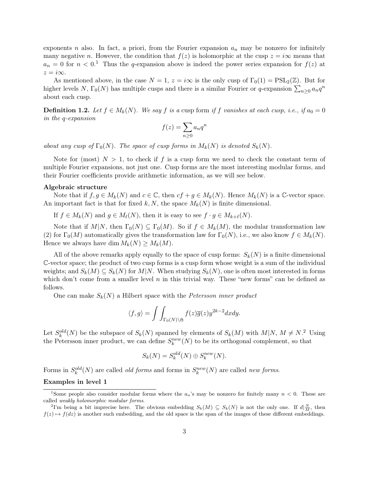exponents n also. In fact, a priori, from the Fourier expansion  $a_n$  may be nonzero for infinitely many negative n. However, the condition that  $f(z)$  is holomorphic at the cusp  $z = i\infty$  means that  $a_n = 0$  for  $n < 0$ <sup>1</sup>. Thus the q-expansion above is indeed the power series expansion for  $f(z)$  at  $z = i\infty$ .

As mentioned above, in the case  $N = 1$ ,  $z = i\infty$  is the only cusp of  $\Gamma_0(1) = \text{PSL}_2(\mathbb{Z})$ . But for higher levels N,  $\Gamma_0(N)$  has multiple cusps and there is a similar Fourier or q-expansion  $\sum_{n\geq 0} a_n q^n$ about each cusp.

**Definition 1.2.** Let  $f \in M_k(N)$ . We say f is a cusp form if f vanishes at each cusp, i.e., if  $a_0 = 0$ in the q-expansion

$$
f(z) = \sum_{n \ge 0} a_n q^n
$$

about any cusp of  $\Gamma_0(N)$ . The space of cusp forms in  $M_k(N)$  is denoted  $S_k(N)$ .

Note for (most)  $N > 1$ , to check if f is a cusp form we need to check the constant term of multiple Fourier expansions, not just one. Cusp forms are the most interesting modular forms, and their Fourier coefficients provide arithmetic information, as we will see below.

#### Algebraic structure

Note that if  $f, g \in M_k(N)$  and  $c \in \mathbb{C}$ , then  $cf + g \in M_k(N)$ . Hence  $M_k(N)$  is a  $\mathbb{C}$ -vector space. An important fact is that for fixed k, N, the space  $M_k(N)$  is finite dimensional.

If  $f \in M_k(N)$  and  $g \in M_\ell(N)$ , then it is easy to see  $f \cdot g \in M_{k+\ell}(N)$ .

Note that if  $M|N$ , then  $\Gamma_0(N) \subseteq \Gamma_0(M)$ . So if  $f \in M_k(M)$ , the modular transformation law (2) for  $\Gamma_0(M)$  automatically gives the transformation law for  $\Gamma_0(N)$ , i.e., we also know  $f \in M_k(N)$ . Hence we always have dim  $M_k(N) \geq M_k(M)$ .

All of the above remarks apply equally to the space of cusp forms:  $S_k(N)$  is a finite dimensional C-vector space; the product of two cusp forms is a cusp form whose weight is a sum of the individual weights; and  $S_k(M) \subseteq S_k(N)$  for  $M|N$ . When studying  $S_k(N)$ , one is often most interested in forms which don't come from a smaller level n in this trivial way. These "new forms" can be defined as follows.

One can make  $S_k(N)$  a Hilbert space with the Petersson inner product

$$
\langle f, g \rangle = \int \int_{\Gamma_0(N) \backslash \mathfrak{H}} f(z) \overline{g}(z) y^{2k-2} dx dy.
$$

Let  $S_k^{old}(N)$  be the subspace of  $S_k(N)$  spanned by elements of  $S_k(M)$  with  $M|N, M \neq N$ <sup>2</sup>. Using the Petersson inner product, we can define  $S_k^{new}(N)$  to be its orthogonal complement, so that

$$
S_k(N) = S_k^{old}(N) \oplus S_k^{new}(N).
$$

Forms in  $S_k^{old}(N)$  are called *old forms* and forms in  $S_k^{new}(N)$  are called *new forms*.

## Examples in level 1

<sup>&</sup>lt;sup>1</sup>Some people also consider modular forms where the  $a_n$ 's may be nonzero for finitely many  $n < 0$ . These are called weakly holomorphic modular forms.

<sup>&</sup>lt;sup>2</sup>I'm being a bit imprecise here. The obvious embedding  $S_k(M) \subseteq S_k(N)$  is not the only one. If  $d|_M^N$ , then  $f(z) \mapsto f(dz)$  is another such embedding, and the old space is the span of the images of these different embeddings.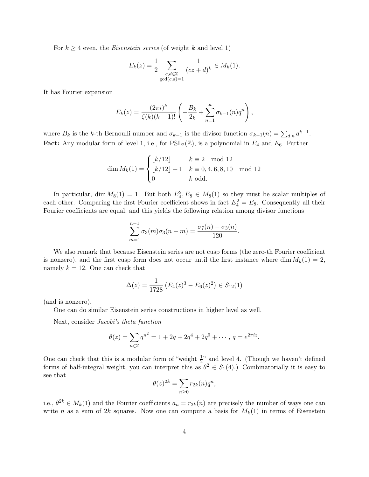For  $k \geq 4$  even, the *Eisenstein series* (of weight k and level 1)

$$
E_k(z) = \frac{1}{2} \sum_{\substack{c,d \in \mathbb{Z} \\ \gcd(c,d)=1}} \frac{1}{(cz+d)^k} \in M_k(1).
$$

It has Fourier expansion

$$
E_k(z) = \frac{(2\pi i)^k}{\zeta(k)(k-1)!} \left( -\frac{B_k}{2_k} + \sum_{n=1}^{\infty} \sigma_{k-1}(n) q^n \right),
$$

where  $B_k$  is the k-th Bernoulli number and  $\sigma_{k-1}$  is the divisor function  $\sigma_{k-1}(n) = \sum_{d|n} d^{k-1}$ . **Fact:** Any modular form of level 1, i.e., for  $PSL_2(\mathbb{Z})$ , is a polynomial in  $E_4$  and  $E_6$ . Further

$$
\dim M_k(1) = \begin{cases} \lfloor k/12 \rfloor & k \equiv 2 \mod 12\\ \lfloor k/12 \rfloor + 1 & k \equiv 0, 4, 6, 8, 10 \mod 12\\ 0 & k \text{ odd.} \end{cases}
$$

In particular, dim  $M_8(1) = 1$ . But both  $E_4^2, E_8 \in M_8(1)$  so they must be scalar multiples of each other. Comparing the first Fourier coefficient shows in fact  $E_4^2 = E_8$ . Consequently all their Fourier coefficients are equal, and this yields the following relation among divisor functions

$$
\sum_{m=1}^{n-1} \sigma_3(m)\sigma_3(n-m) = \frac{\sigma_7(n) - \sigma_3(n)}{120}.
$$

We also remark that because Eisenstein series are not cusp forms (the zero-th Fourier coefficient is nonzero), and the first cusp form does not occur until the first instance where dim  $M_k(1) = 2$ , namely  $k = 12$ . One can check that

$$
\Delta(z) = \frac{1}{1728} \left( E_4(z)^3 - E_6(z)^2 \right) \in S_{12}(1)
$$

(and is nonzero).

One can do similar Eisenstein series constructions in higher level as well.

Next, consider Jacobi's theta function

$$
\theta(z) = \sum_{n \in \mathbb{Z}} q^{n^2} = 1 + 2q + 2q^4 + 2q^9 + \cdots, \, q = e^{2\pi i z}.
$$

One can check that this is a modular form of "weight  $\frac{1}{2}$ " and level 4. (Though we haven't defined forms of half-integral weight, you can interpret this as  $\theta^2 \in S_1(4)$ .) Combinatorially it is easy to see that

$$
\theta(z)^{2k} = \sum_{n\geq 0} r_{2k}(n)q^n,
$$

i.e.,  $\theta^{2k} \in M_k(1)$  and the Fourier coefficients  $a_n = r_{2k}(n)$  are precisely the number of ways one can write n as a sum of 2k squares. Now one can compute a basis for  $M_k(1)$  in terms of Eisenstein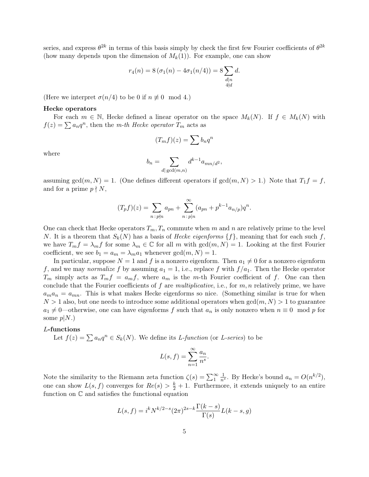series, and express  $\theta^{2k}$  in terms of this basis simply by check the first few Fourier coefficients of  $\theta^{2k}$ (how many depends upon the dimension of  $M_k(1)$ ). For example, one can show

$$
r_4(n) = 8 (\sigma_1(n) - 4\sigma_1(n/4)) = 8 \sum_{\substack{d|n\\4\nmid d}} d.
$$

(Here we interpret  $\sigma(n/4)$  to be 0 if  $n \not\equiv 0 \mod 4$ .)

### Hecke operators

For each  $m \in \mathbb{N}$ , Hecke defined a linear operator on the space  $M_k(N)$ . If  $f \in M_k(N)$  with  $f(z) = \sum a_n q^n$ , then the m-th Hecke operator  $T_m$  acts as

$$
(T_m f)(z) = \sum b_n q^n
$$

where

$$
b_n = \sum_{d|\gcd(m,n)} d^{k-1} a_{mn/d^2},
$$

assuming  $gcd(m, N) = 1$ . (One defines different operators if  $gcd(m, N) > 1$ .) Note that  $T_1 f = f$ , and for a prime  $p \nmid N$ ,

$$
(T_p f)(z) = \sum_{n \,:\, p \nmid n} a_{pn} + \sum_{n \,:\, p \mid n}^{\infty} (a_{pn} + p^{k-1} a_{n/p}) q^n.
$$

One can check that Hecke operators  $T_m, T_n$  commute when m and n are relatively prime to the level N. It is a theorem that  $S_k(N)$  has a basis of *Hecke eigenforms*  $\{f\}$ , meaning that for each such f, we have  $T_m f = \lambda_m f$  for some  $\lambda_m \in \mathbb{C}$  for all m with  $gcd(m, N) = 1$ . Looking at the first Fourier coefficient, we see  $b_1 = a_m = \lambda_m a_1$  whenever  $gcd(m, N) = 1$ .

In particular, suppose  $N = 1$  and f is a nonzero eigenform. Then  $a_1 \neq 0$  for a nonzero eigenform f, and we may normalize f by assuming  $a_1 = 1$ , i.e., replace f with  $f/a_1$ . Then the Hecke operator  $T_m$  simply acts as  $T_m f = a_m f$ , where  $a_m$  is the m-th Fourier coefficient of f. One can then conclude that the Fourier coefficients of f are multiplicative, i.e., for  $m, n$  relatively prime, we have  $a_ma_n = a_{mn}$ . This is what makes Hecke eigenforms so nice. (Something similar is true for when  $N > 1$  also, but one needs to introduce some additional operators when  $gcd(m, N) > 1$  to guarantee  $a_1 \neq 0$ —otherwise, one can have eigenforms f such that  $a_n$  is only nonzero when  $n \equiv 0 \mod p$  for some  $p|N.$ 

## L-functions

Let  $f(z) = \sum a_n q^n \in S_k(N)$ . We define its *L*-function (or *L*-series) to be

$$
L(s, f) = \sum_{n=1}^{\infty} \frac{a_n}{n^s}.
$$

Note the similarity to the Riemann zeta function  $\zeta(s) = \sum_{1}^{\infty} \frac{1}{n^{s}}$ . By Hecke's bound  $a_n = O(n^{k/2})$ , one can show  $L(s, f)$  converges for  $Re(s) > \frac{k}{2} + 1$ . Furthermore, it extends uniquely to an entire function on C and satisfies the functional equation

$$
L(s, f) = i^{k} N^{k/2 - s} (2\pi)^{2s - k} \frac{\Gamma(k - s)}{\Gamma(s)} L(k - s, g)
$$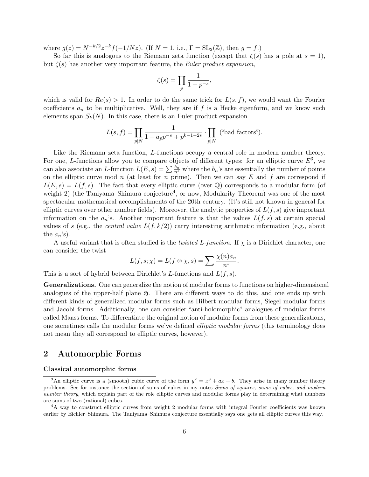where  $g(z) = N^{-k/2} z^{-k} f(-1/Nz)$ . (If  $N = 1$ , i.e.,  $\Gamma = SL_2(\mathbb{Z})$ , then  $g = f$ .)

So far this is analogous to the Riemann zeta function (except that  $\zeta(s)$  has a pole at  $s = 1$ ), but  $\zeta(s)$  has another very important feature, the *Euler product expansion*,

$$
\zeta(s) = \prod_{p} \frac{1}{1 - p^{-s}},
$$

which is valid for  $Re(s) > 1$ . In order to do the same trick for  $L(s, f)$ , we would want the Fourier coefficients  $a_n$  to be multiplicative. Well, they are if f is a Hecke eigenform, and we know such elements span  $S_k(N)$ . In this case, there is an Euler product expansion

$$
L(s, f) = \prod_{p \nmid N} \frac{1}{1 - a_p p^{-s} + p^{k-1-2s}} \cdot \prod_{p \mid N} \text{ ("bad factors").}
$$

Like the Riemann zeta function, L-functions occupy a central role in modern number theory. For one, L-functions allow you to compare objects of different types: for an elliptic curve  $E^3$ , we can also associate an L-function  $L(E, s) = \sum_{n=1}^{\infty} \frac{b_n}{n^s}$  where the  $b_n$ 's are essentially the number of points on the elliptic curve mod n (at least for n prime). Then we can say  $E$  and  $f$  are correspond if  $L(E, s) = L(f, s)$ . The fact that every elliptic curve (over Q) corresponds to a modular form (of weight 2) (the Taniyama–Shimura conjecture<sup>4</sup>, or now, Modularity Theorem) was one of the most spectacular mathematical accomplishments of the 20th century. (It's still not known in general for elliptic curves over other number fields). Moreover, the analytic properties of  $L(f, s)$  give important information on the  $a_n$ 's. Another important feature is that the values  $L(f, s)$  at certain special values of s (e.g., the *central value*  $L(f, k/2)$ ) carry interesting arithmetic information (e.g., about the  $a_n$ 's).

A useful variant that is often studied is the *twisted L-function*. If  $\chi$  is a Dirichlet character, one can consider the twist

$$
L(f, s; \chi) = L(f \otimes \chi, s) = \sum \frac{\chi(n)a_n}{n^s}.
$$

This is a sort of hybrid between Dirichlet's L-functions and  $L(f, s)$ .

Generalizations. One can generalize the notion of modular forms to functions on higher-dimensional analogues of the upper-half plane  $\mathfrak{H}$ . There are different ways to do this, and one ends up with different kinds of generalized modular forms such as Hilbert modular forms, Siegel modular forms and Jacobi forms. Additionally, one can consider "anti-holomorphic" analogues of modular forms called Maass forms. To differentiate the original notion of modular forms from these generalizations, one sometimes calls the modular forms we've defined elliptic modular forms (this terminology does not mean they all correspond to elliptic curves, however).

# 2 Automorphic Forms

## Classical automorphic forms

<sup>&</sup>lt;sup>3</sup>An elliptic curve is a (smooth) cubic curve of the form  $y^2 = x^3 + ax + b$ . They arise in many number theory problems. See for instance the section of sums of cubes in my notes Sums of squares, sums of cubes, and modern number theory, which explain part of the role elliptic curves and modular forms play in determining what numbers are sums of two (rational) cubes.

<sup>&</sup>lt;sup>4</sup>A way to construct elliptic curves from weight 2 modular forms with integral Fourier coefficients was known earlier by Eichler–Shimura. The Taniyama–Shimura conjecture essentially says one gets all elliptic curves this way.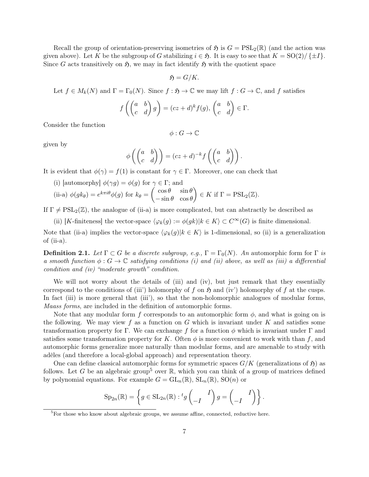Recall the group of orientation-preserving isometries of  $\mathfrak{H}$  is  $G = \text{PSL}_2(\mathbb{R})$  (and the action was given above). Let K be the subgroup of G stabilizing  $i \in \mathfrak{H}$ . It is easy to see that  $K = SO(2)/\{\pm I\}$ . Since G acts transitively on  $\mathfrak{H}$ , we may in fact identify  $\mathfrak{H}$  with the quotient space

$$
\mathfrak{H}=G/K.
$$

Let  $f \in M_k(N)$  and  $\Gamma = \Gamma_0(N)$ . Since  $f : \mathfrak{H} \to \mathbb{C}$  we may lift  $f : G \to \mathbb{C}$ , and f satisfies

$$
f\left(\begin{pmatrix} a & b \\ c & d \end{pmatrix} g\right) = (cz+d)^k f(g), \begin{pmatrix} a & b \\ c & d \end{pmatrix} \in \Gamma.
$$

Consider the function

$$
\phi: G \to \mathbb{C}
$$

given by

$$
\phi\left(\begin{pmatrix} a & b \\ c & d \end{pmatrix}\right) = (cz+d)^{-k} f\left(\begin{pmatrix} a & b \\ c & d \end{pmatrix}\right).
$$

It is evident that  $\phi(\gamma) = f(1)$  is constant for  $\gamma \in \Gamma$ . Moreover, one can check that

(i) [automorphy]  $\phi(\gamma g) = \phi(g)$  for  $\gamma \in \Gamma$ ; and

(ii-a) 
$$
\phi(gk_{\theta}) = e^{k\pi i\theta}\phi(g)
$$
 for  $k_{\theta} = \begin{pmatrix} \cos\theta & \sin\theta \\ -\sin\theta & \cos\theta \end{pmatrix} \in K$  if  $\Gamma = \text{PSL}_2(\mathbb{Z})$ .

If  $\Gamma \neq \text{PSL}_2(\mathbb{Z})$ , the analogue of (ii-a) is more complicated, but can abstractly be described as

(ii) [K-finiteness] the vector-space  $\langle \varphi_k(g) := \phi(gk)|k \in K \rangle \subset C^{\infty}(G)$  is finite dimensional.

Note that (ii-a) implies the vector-space  $\langle \varphi_k(g)|k \in K \rangle$  is 1-dimensional, so (ii) is a generalization of (ii-a).

**Definition 2.1.** Let  $\Gamma \subset G$  be a discrete subgroup, e.g.,  $\Gamma = \Gamma_0(N)$ . An automorphic form for  $\Gamma$  is a smooth function  $\phi : G \to \mathbb{C}$  satisfying conditions (i) and (ii) above, as well as (iii) a differential condition and (iv) "moderate growth" condition.

We will not worry about the details of (iii) and (iv), but just remark that they essentially correspond to the conditions of (iii') holomorphy of f on  $\mathfrak{H}$  and (iv') holomorphy of f at the cusps. In fact (iii) is more general that (iii'), so that the non-holomorphic analogues of modular forms, Maass forms, are included in the definition of automorphic forms.

Note that any modular form f corresponds to an automorphic form  $\phi$ , and what is going on is the following. We may view f as a function on G which is invariant under K and satisfies some transformation property for Γ. We can exchange f for a function  $\phi$  which is invariant under Γ and satisfies some transformation property for K. Often  $\phi$  is more convenient to work with than f, and automorphic forms generalize more naturally than modular forms, and are amenable to study with adèles (and therefore a local-global approach) and representation theory.

One can define classical automorphic forms for symmetric spaces  $G/K$  (generalizations of  $\mathfrak{H}$ ) as follows. Let G be an algebraic group<sup>5</sup> over  $\mathbb R$ , which you can think of a group of matrices defined by polynomial equations. For example  $G = GL_n(\mathbb{R})$ ,  $SL_n(\mathbb{R})$ ,  $SO(n)$  or

$$
\mathrm{Sp}_{2n}(\mathbb{R}) = \left\{ g \in \mathrm{SL}_{2n}(\mathbb{R}) : {}^{t}g \begin{pmatrix} I \\ -I \end{pmatrix} g = \begin{pmatrix} I \\ -I \end{pmatrix} \right\}.
$$

 ${}^{5}$ For those who know about algebraic groups, we assume affine, connected, reductive here.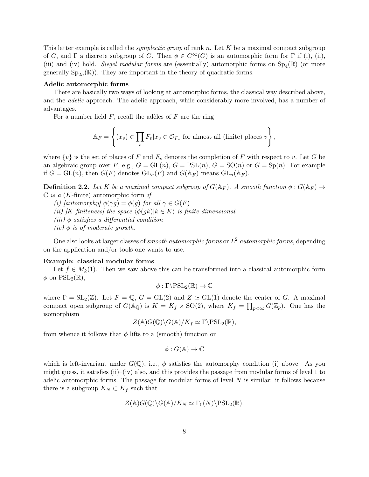This latter example is called the *symplectic group* of rank n. Let  $K$  be a maximal compact subgroup of G, and  $\Gamma$  a discrete subgroup of G. Then  $\phi \in C^{\infty}(G)$  is an automorphic form for  $\Gamma$  if (i), (ii), (iii) and (iv) hold. Siegel modular forms are (essentially) automorphic forms on  $Sp_4(\mathbb{R})$  (or more generally  $Sp_{2n}(\mathbb{R})$ . They are important in the theory of quadratic forms.

## Adelic automorphic forms

There are basically two ways of looking at automorphic forms, the classical way described above, and the *adelic* approach. The adelic approach, while considerably more involved, has a number of advantages.

For a number field  $F$ , recall the adèles of  $F$  are the ring

$$
\mathbb{A}_F = \left\{ (x_v) \in \prod_v F_v | x_v \in \mathcal{O}_{F_v} \text{ for almost all (finite) places } v \right\},\
$$

where  $\{v\}$  is the set of places of F and  $F_v$  denotes the completion of F with respect to v. Let G be an algebraic group over F, e.g.,  $G = GL(n)$ ,  $G = PSL(n)$ ,  $G = SO(n)$  or  $G = Sp(n)$ . For example if  $G = GL(n)$ , then  $G(F)$  denotes  $GL_n(F)$  and  $G(\mathbb{A}_F)$  means  $GL_n(\mathbb{A}_F)$ .

**Definition 2.2.** Let K be a maximal compact subgroup of  $G(\mathbb{A}_F)$ . A smooth function  $\phi : G(\mathbb{A}_F) \to$  $\mathbb C$  is a (*K*-finite) automorphic form if

- (i) [automorphy]  $\phi(\gamma g) = \phi(g)$  for all  $\gamma \in G(F)$
- (ii) [K-finiteness] the space  $\langle \phi(gk)|k \in K \rangle$  is finite dimensional
- (iii)  $\phi$  satisfies a differential condition
- (iv)  $\phi$  is of moderate growth.

One also looks at larger classes of *smooth automorphic forms* or  $L^2$  *automorphic forms*, depending on the application and/or tools one wants to use.

## Example: classical modular forms

Let  $f \in M_k(1)$ . Then we saw above this can be transformed into a classical automorphic form  $\phi$  on  $PSL_2(\mathbb{R}),$ 

$$
\phi:\Gamma\backslash\mathrm{PSL}_2(\mathbb{R})\to\mathbb{C}
$$

where  $\Gamma = SL_2(\mathbb{Z})$ . Let  $F = \mathbb{Q}$ ,  $G = GL(2)$  and  $Z \simeq GL(1)$  denote the center of G. A maximal compact open subgroup of  $G(\mathbb{A}_{\mathbb{Q}})$  is  $K = K_f \times SO(2)$ , where  $K_f = \prod_{p < \infty} G(\mathbb{Z}_p)$ . One has the isomorphism

$$
Z(\mathbb{A})G(\mathbb{Q})\backslash G(\mathbb{A})/K_f\simeq \Gamma\backslash \mathrm{PSL}_2(\mathbb{R}),
$$

from whence it follows that  $\phi$  lifts to a (smooth) function on

$$
\phi: G(\mathbb{A}) \to \mathbb{C}
$$

which is left-invariant under  $G(\mathbb{Q})$ , i.e.,  $\phi$  satisfies the automorphy condition (i) above. As you might guess, it satisfies (ii)–(iv) also, and this provides the passage from modular forms of level 1 to adelic automorphic forms. The passage for modular forms of level  $N$  is similar: it follows because there is a subgroup  $K_N \subset K_f$  such that

$$
Z(\mathbb{A})G(\mathbb{Q})\backslash G(\mathbb{A})/K_N\simeq \Gamma_0(N)\backslash \mathrm{PSL}_2(\mathbb{R}).
$$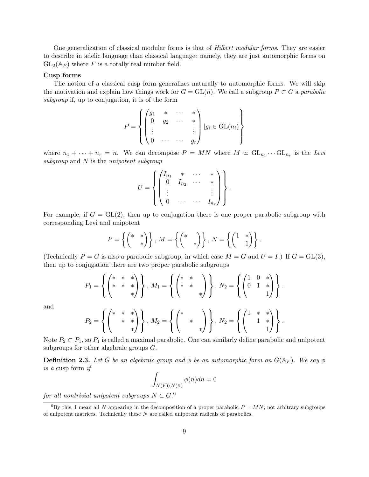One generalization of classical modular forms is that of Hilbert modular forms. They are easier to describe in adelic language than classical language: namely, they are just automorphic forms on  $GL_2(\mathbb{A}_F)$  where F is a totally real number field.

## Cusp forms

The notion of a classical cusp form generalizes naturally to automorphic forms. We will skip the motivation and explain how things work for  $G = GL(n)$ . We call a subgroup  $P \subset G$  a parabolic subgroup if, up to conjugation, it is of the form

$$
P = \left\{ \begin{pmatrix} g_1 & * & \cdots & * \\ 0 & g_2 & \cdots & * \\ \vdots & & & \vdots \\ 0 & \cdots & \cdots & g_r \end{pmatrix} \middle| g_i \in \text{GL}(n_i) \right\}
$$

where  $n_1 + \cdots + n_r = n$ . We can decompose  $P = MN$  where  $M \simeq GL_{n_1} \cdots GL_{n_r}$  is the Levi subgroup and  $N$  is the unipotent subgroup

$$
U = \left\{ \begin{pmatrix} I_{n_1} & * & \cdots & * \\ 0 & I_{n_2} & \cdots & * \\ \vdots & & & \vdots \\ 0 & \cdots & \cdots & I_{n_r} \end{pmatrix} \right\}.
$$

For example, if  $G = GL(2)$ , then up to conjugation there is one proper parabolic subgroup with corresponding Levi and unipotent

$$
P = \left\{ \begin{pmatrix} * & * \\ & * \end{pmatrix} \right\}, M = \left\{ \begin{pmatrix} * & * \\ & * \end{pmatrix} \right\}, N = \left\{ \begin{pmatrix} 1 & * \\ & 1 \end{pmatrix} \right\}.
$$

(Technically  $P = G$  is also a parabolic subgroup, in which case  $M = G$  and  $U = I$ .) If  $G = GL(3)$ , then up to conjugation there are two proper parabolic subgroups

$$
P_1 = \left\{ \begin{pmatrix} * & * & * \\ * & * & * \\ & & * \end{pmatrix} \right\}, M_1 = \left\{ \begin{pmatrix} * & * \\ * & * \\ & & * \end{pmatrix} \right\}, N_2 = \left\{ \begin{pmatrix} 1 & 0 & * \\ 0 & 1 & * \\ & & 1 \end{pmatrix} \right\}.
$$

and

$$
P_2 = \left\{ \begin{pmatrix} * & * & * \\ & * & * \\ & & * \end{pmatrix} \right\}, M_2 = \left\{ \begin{pmatrix} * & * \\ & * & * \\ & & * \end{pmatrix} \right\}, N_2 = \left\{ \begin{pmatrix} 1 & * & * \\ & 1 & * \\ & & 1 \end{pmatrix} \right\}
$$

.

Note  $P_2 \subset P_1$ , so  $P_1$  is called a maximal parabolic. One can similarly define parabolic and unipotent subgroups for other algebraic groups G.

**Definition 2.3.** Let G be an algebraic group and  $\phi$  be an automorphic form on  $G(\mathbb{A}_F)$ . We say  $\phi$ is a cusp form if

$$
\int_{N(F)\backslash N(\mathbb{A})}\phi(n)dn=0
$$

 $for\ all\ nontrivial\ unipotent\ subgroups\ N\subset G.^6$ 

<sup>&</sup>lt;sup>6</sup>By this, I mean all N appearing in the decomposition of a proper parabolic  $P = MN$ , not arbitrary subgroups of unipotent matrices. Technically these  $N$  are called unipotent radicals of parabolics.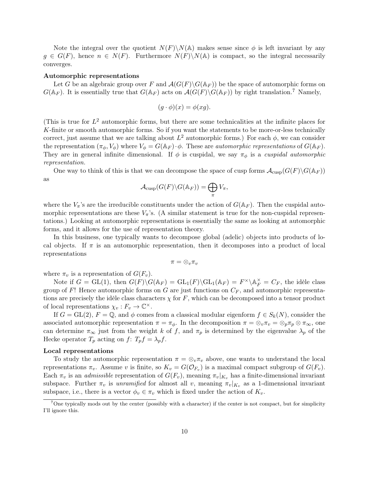Note the integral over the quotient  $N(F)\N(A)$  makes sense since  $\phi$  is left invariant by any  $g \in G(F)$ , hence  $n \in N(F)$ . Furthermore  $N(F) \backslash N(A)$  is compact, so the integral necessarily converges.

### Automorphic representations

Let G be an algebraic group over F and  $\mathcal{A}(G(F) \backslash G(\mathbb{A}_F))$  be the space of automorphic forms on  $G(\mathbb{A}_F)$ . It is essentially true that  $G(\mathbb{A}_F)$  acts on  $\mathcal{A}(G(F)\backslash G(\mathbb{A}_F))$  by right translation.<sup>7</sup> Namely,

$$
(g \cdot \phi)(x) = \phi(xg).
$$

(This is true for  $L^2$  automorphic forms, but there are some technicalities at the infinite places for K-finite or smooth automorphic forms. So if you want the statements to be more-or-less technically correct, just assume that we are talking about  $L^2$  automorphic forms.) For each  $\phi$ , we can consider the representation  $(\pi_{\phi}, V_{\phi})$  where  $V_{\phi} = G(\mathbb{A}_F) \cdot \phi$ . These are *automorphic representations* of  $G(\mathbb{A}_F)$ . They are in general infinite dimensional. If  $\phi$  is cuspidal, we say  $\pi_{\phi}$  is a cuspidal automorphic representation.

One way to think of this is that we can decompose the space of cusp forms  $\mathcal{A}_{\text{cusp}}(G(F)\backslash G(\mathbb{A}_F))$ as

$$
\mathcal{A}_{\mathrm{cusp}}(G(F)\backslash G(\mathbb{A}_F))=\bigoplus_{\pi}V_{\pi},
$$

where the  $V_{\pi}$ 's are the irreducible constituents under the action of  $G(\mathbb{A}_F)$ . Then the cuspidal automorphic representations are these  $V_{\pi}$ 's. (A similar statement is true for the non-cuspidal representations.) Looking at automorphic representations is essentially the same as looking at automorphic forms, and it allows for the use of representation theory.

In this business, one typically wants to decompose global (adelic) objects into products of local objects. If  $\pi$  is an automorphic representation, then it decomposes into a product of local representations

$$
\pi=\otimes_v\pi_v
$$

where  $\pi_v$  is a representation of  $G(F_v)$ .

Note if  $G = GL(1)$ , then  $G(F) \backslash G(\mathbb{A}_F) = GL_1(F) \backslash GL_1(\mathbb{A}_F) = F^\times \backslash \mathbb{A}_F^\times = C_F$ , the idèle class group of F! Hence automorphic forms on G are just functions on  $C_F$ , and automorphic representations are precisely the idèle class characters  $\chi$  for F, which can be decomposed into a tensor product of local representations  $\chi_v : F_v \to \mathbb{C}^{\times}$ .

If  $G = GL(2)$ ,  $F = \mathbb{Q}$ , and  $\phi$  comes from a classical modular eigenform  $f \in S_k(N)$ , consider the associated automorphic representation  $\pi = \pi_{\phi}$ . In the decomposition  $\pi = \otimes_v \pi_v = \otimes_p \pi_p \otimes \pi_{\infty}$ , one can determine  $\pi_{\infty}$  just from the weight k of f, and  $\pi_p$  is determined by the eigenvalue  $\lambda_p$  of the Hecke operator  $T_p$  acting on  $f: T_p f = \lambda_p f$ .

## Local representations

To study the automorphic representation  $\pi = \otimes_v \pi_v$  above, one wants to understand the local representations  $\pi_v$ . Assume v is finite, so  $K_v = G(\mathcal{O}_{F_v})$  is a maximal compact subgroup of  $G(F_v)$ . Each  $\pi_v$  is an *admissible* representation of  $G(F_v)$ , meaning  $\pi_v|_{K_v}$  has a finite-dimensional invariant subspace. Further  $\pi_v$  is unramified for almost all v, meaning  $\pi_v|_{K_v}$  as a 1-dimensional invariant subspace, i.e., there is a vector  $\phi_v \in \pi_v$  which is fixed under the action of  $K_v$ .

<sup>&</sup>lt;sup>7</sup>One typically mods out by the center (possibly with a character) if the center is not compact, but for simplicity I'll ignore this.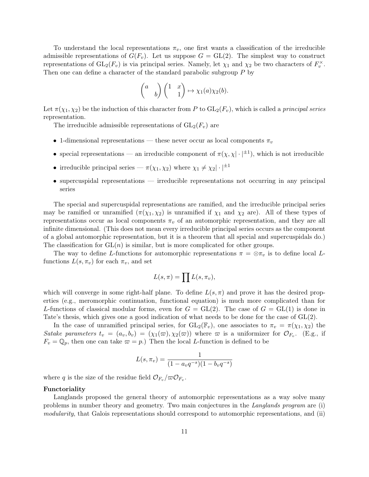To understand the local representations  $\pi_v$ , one first wants a classification of the irreducible admissible representations of  $G(F_v)$ . Let us suppose  $G = GL(2)$ . The simplest way to construct representations of  $GL_2(F_v)$  is via principal series. Namely, let  $\chi_1$  and  $\chi_2$  be two characters of  $F_v^{\times}$ . Then one can define a character of the standard parabolic subgroup P by

$$
\begin{pmatrix} a & b \end{pmatrix} \begin{pmatrix} 1 & x \ 1 & 1 \end{pmatrix} \mapsto \chi_1(a)\chi_2(b).
$$

Let  $\pi(\chi_1, \chi_2)$  be the induction of this character from P to  $GL_2(F_v)$ , which is called a principal series representation.

The irreducible admissible representations of  $GL_2(F_v)$  are

- 1-dimensional representations these never occur as local components  $\pi_v$
- special representations an irreducible component of  $\pi(\chi, \chi | \cdot |^{\pm 1})$ , which is not irreducible
- irreducible principal series  $\pi(\chi_1, \chi_2)$  where  $\chi_1 \neq \chi_2 |\cdot|^{1}$
- supercuspidal representations irreducible representations not occurring in any principal series

The special and supercuspidal representations are ramified, and the irreducible principal series may be ramified or unramified  $(\pi(\chi_1, \chi_2))$  is unramified if  $\chi_1$  and  $\chi_2$  are). All of these types of representations occur as local components  $\pi_v$  of an automorphic representation, and they are all infinite dimensional. (This does not mean every irreducible principal series occurs as the component of a global automorphic representation, but it is a theorem that all special and supercuspidals do.) The classification for  $GL(n)$  is similar, but is more complicated for other groups.

The way to define L-functions for automorphic representations  $\pi = \otimes \pi_v$  is to define local Lfunctions  $L(s, \pi_v)$  for each  $\pi_v$ , and set

$$
L(s,\pi)=\prod L(s,\pi_v),
$$

which will converge in some right-half plane. To define  $L(s, \pi)$  and prove it has the desired properties (e.g., meromorphic continuation, functional equation) is much more complicated than for L-functions of classical modular forms, even for  $G = GL(2)$ . The case of  $G = GL(1)$  is done in Tate's thesis, which gives one a good indication of what needs to be done for the case of GL(2).

In the case of unramified principal series, for  $GL_2(\mathbb{F}_v)$ , one associates to  $\pi_v = \pi(\chi_1, \chi_2)$  the Satake parameters  $t_v = (a_v, b_v) = (\chi_1(\varpi), \chi_2(\varpi))$  where  $\varpi$  is a uniformizer for  $\mathcal{O}_{F_v}$ . (E.g., if  $F_v = \mathbb{Q}_p$ , then one can take  $\varpi = p$ .) Then the local *L*-function is defined to be

$$
L(s, \pi_v) = \frac{1}{(1 - a_v q^{-s})(1 - b_v q^{-s})}
$$

where q is the size of the residue field  $\mathcal{O}_{F_v}/\varpi \mathcal{O}_{F_v}$ .

#### Functoriality

Langlands proposed the general theory of automorphic representations as a way solve many problems in number theory and geometry. Two main conjectures in the Langlands program are (i) modularity, that Galois representations should correspond to automorphic representations, and (ii)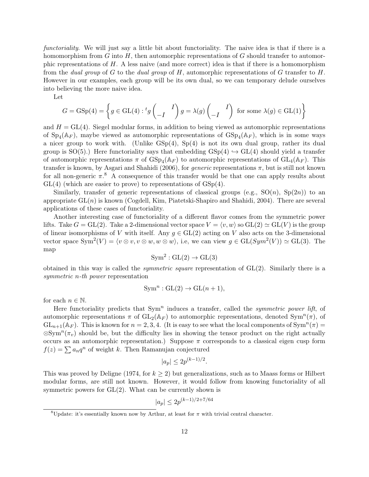functoriality. We will just say a little bit about functoriality. The naive idea is that if there is a homomorphism from G into  $H$ , then automorphic representations of G should transfer to automorphic representations of  $H$ . A less naive (and more correct) idea is that if there is a homomorphism from the dual group of G to the dual group of H, automorphic representations of G transfer to H. However in our examples, each group will be its own dual, so we can temporary delude ourselves into believing the more naive idea.

Let

$$
G = \text{GSp}(4) = \left\{ g \in \text{GL}(4) : {}^{t}g \begin{pmatrix} I \\ -I \end{pmatrix} g = \lambda(g) \begin{pmatrix} I \\ -I \end{pmatrix} \text{ for some } \lambda(g) \in \text{GL}(1) \right\}
$$

and  $H = GL(4)$ . Siegel modular forms, in addition to being viewed as automorphic representations of  $Sp_4(\mathbb{A}_F)$ , maybe viewed as automorphic representations of  $GSp_4(\mathbb{A}_F)$ , which is in some ways a nicer group to work with. (Unlike  $GSp(4)$ ,  $Sp(4)$  is not its own dual group, rather its dual group is  $SO(5)$ .) Here functoriality says that embedding  $GSp(4) \hookrightarrow GL(4)$  should yield a transfer of automorphic representations  $\pi$  of  $GSp_4(\mathbb{A}_F)$  to automorphic representations of  $GL_4(\mathbb{A}_F)$ . This transfer is known, by Asgari and Shahidi (2006), for *generic* representations  $\pi$ , but is still not known for all non-generic  $\pi$ <sup>8</sup>. A consequence of this transfer would be that one can apply results about  $GL(4)$  (which are easier to prove) to representations of  $GSp(4)$ .

Similarly, transfer of generic representations of classical groups (e.g.,  $SO(n)$ ,  $Sp(2n)$ ) to an appropriate  $GL(n)$  is known (Cogdell, Kim, Piatetski-Shapiro and Shahidi, 2004). There are several applications of these cases of functoriality.

Another interesting case of functoriality of a different flavor comes from the symmetric power lifts. Take  $G = GL(2)$ . Take a 2-dimensional vector space  $V = \langle v, w \rangle$  so  $GL(2) \simeq GL(V)$  is the group of linear isomorphisms of V with itself. Any  $q \in GL(2)$  acting on V also acts on the 3-dimensional vector space  $\text{Sym}^2(V) = \langle v \otimes v, v \otimes w, w \otimes w \rangle$ , i.e, we can view  $g \in \text{GL}(Sym^2(V)) \simeq \text{GL}(3)$ . The map

$$
Sym^2: GL(2) \to GL(3)
$$

obtained in this way is called the *symmetric square* representation of  $GL(2)$ . Similarly there is a symmetric *n*-th power representation

$$
Symn: GL(2) \to GL(n+1),
$$

for each  $n \in \mathbb{N}$ .

Here functoriality predicts that  $Sym<sup>n</sup>$  induces a transfer, called the *symmetric power lift*, of automorphic representations  $\pi$  of  $GL_2(\mathbb{A}_F)$  to automorphic representations, denoted  $Sym^n(\pi)$ , of  $GL_{n+1}(\mathbb{A}_F)$ . This is known for  $n=2,3,4$ . (It is easy to see what the local components of  $\text{Sym}^n(\pi)$ )  $\otimes \text{Sym}^n(\pi_v)$  should be, but the difficulty lies in showing the tensor product on the right actually occurs as an automorphic representation.) Suppose  $\pi$  corresponds to a classical eigen cusp form  $f(z) = \sum a_n q^n$  of weight k. Then Ramanujan conjectured

$$
|a_p| \le 2p^{(k-1)/2}.
$$

This was proved by Deligne (1974, for  $k \geq 2$ ) but generalizations, such as to Maass forms or Hilbert modular forms, are still not known. However, it would follow from knowing functoriality of all symmetric powers for  $GL(2)$ . What can be currently shown is

$$
|a_p| \le 2p^{(k-1)/2 + 7/64}
$$

<sup>&</sup>lt;sup>8</sup>Update: it's essentially known now by Arthur, at least for  $\pi$  with trivial central character.